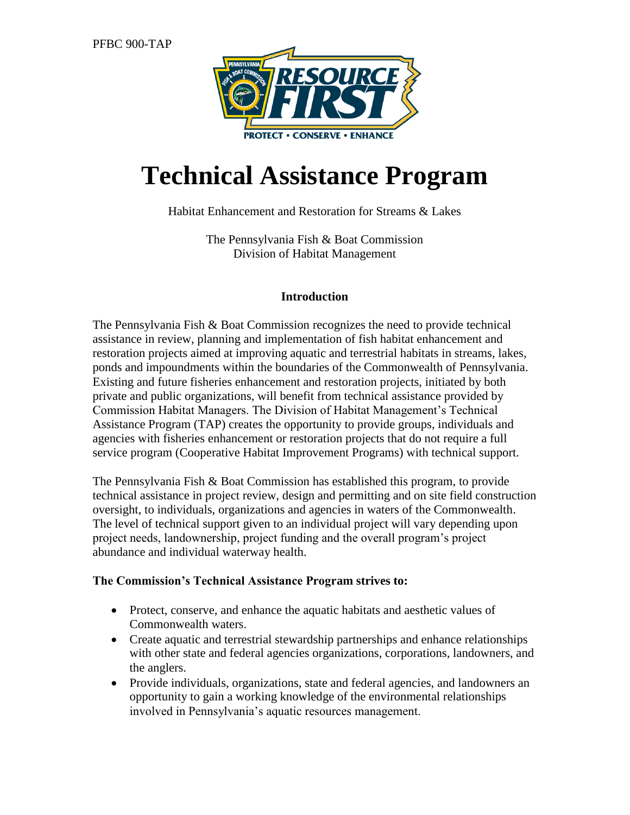

# **Technical Assistance Program**

#### Habitat Enhancement and Restoration for Streams & Lakes

The Pennsylvania Fish & Boat Commission Division of Habitat Management

#### **Introduction**

The Pennsylvania Fish & Boat Commission recognizes the need to provide technical assistance in review, planning and implementation of fish habitat enhancement and restoration projects aimed at improving aquatic and terrestrial habitats in streams, lakes, ponds and impoundments within the boundaries of the Commonwealth of Pennsylvania. Existing and future fisheries enhancement and restoration projects, initiated by both private and public organizations, will benefit from technical assistance provided by Commission Habitat Managers. The Division of Habitat Management's Technical Assistance Program (TAP) creates the opportunity to provide groups, individuals and agencies with fisheries enhancement or restoration projects that do not require a full service program (Cooperative Habitat Improvement Programs) with technical support.

The Pennsylvania Fish & Boat Commission has established this program, to provide technical assistance in project review, design and permitting and on site field construction oversight, to individuals, organizations and agencies in waters of the Commonwealth. The level of technical support given to an individual project will vary depending upon project needs, landownership, project funding and the overall program's project abundance and individual waterway health.

#### **The Commission's Technical Assistance Program strives to:**

- Protect, conserve, and enhance the aquatic habitats and aesthetic values of Commonwealth waters.
- Create aquatic and terrestrial stewardship partnerships and enhance relationships with other state and federal agencies organizations, corporations, landowners, and the anglers.
- Provide individuals, organizations, state and federal agencies, and landowners an opportunity to gain a working knowledge of the environmental relationships involved in Pennsylvania's aquatic resources management.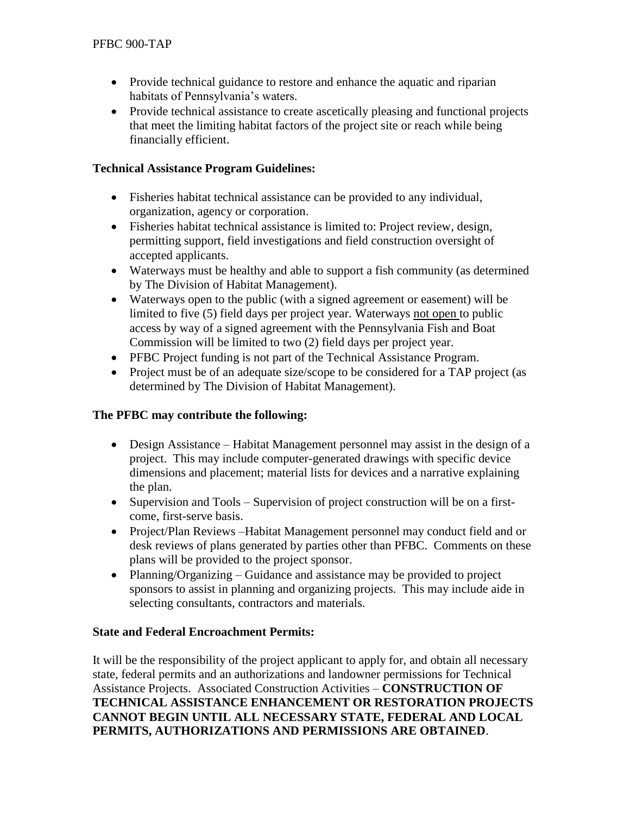- Provide technical guidance to restore and enhance the aquatic and riparian habitats of Pennsylvania's waters.
- Provide technical assistance to create ascetically pleasing and functional projects that meet the limiting habitat factors of the project site or reach while being financially efficient.

## **Technical Assistance Program Guidelines:**

- Fisheries habitat technical assistance can be provided to any individual, organization, agency or corporation.
- Fisheries habitat technical assistance is limited to: Project review, design, permitting support, field investigations and field construction oversight of accepted applicants.
- Waterways must be healthy and able to support a fish community (as determined by The Division of Habitat Management).
- Waterways open to the public (with a signed agreement or easement) will be limited to five (5) field days per project year. Waterways not open to public access by way of a signed agreement with the Pennsylvania Fish and Boat Commission will be limited to two (2) field days per project year.
- PFBC Project funding is not part of the Technical Assistance Program.
- Project must be of an adequate size/scope to be considered for a TAP project (as determined by The Division of Habitat Management).

# **The PFBC may contribute the following:**

- Design Assistance Habitat Management personnel may assist in the design of a project. This may include computer-generated drawings with specific device dimensions and placement; material lists for devices and a narrative explaining the plan.
- Supervision and Tools Supervision of project construction will be on a firstcome, first-serve basis.
- Project/Plan Reviews Habitat Management personnel may conduct field and or desk reviews of plans generated by parties other than PFBC. Comments on these plans will be provided to the project sponsor.
- Planning/Organizing Guidance and assistance may be provided to project sponsors to assist in planning and organizing projects. This may include aide in selecting consultants, contractors and materials.

## **State and Federal Encroachment Permits:**

It will be the responsibility of the project applicant to apply for, and obtain all necessary state, federal permits and an authorizations and landowner permissions for Technical Assistance Projects. Associated Construction Activities – **CONSTRUCTION OF TECHNICAL ASSISTANCE ENHANCEMENT OR RESTORATION PROJECTS CANNOT BEGIN UNTIL ALL NECESSARY STATE, FEDERAL AND LOCAL PERMITS, AUTHORIZATIONS AND PERMISSIONS ARE OBTAINED**.